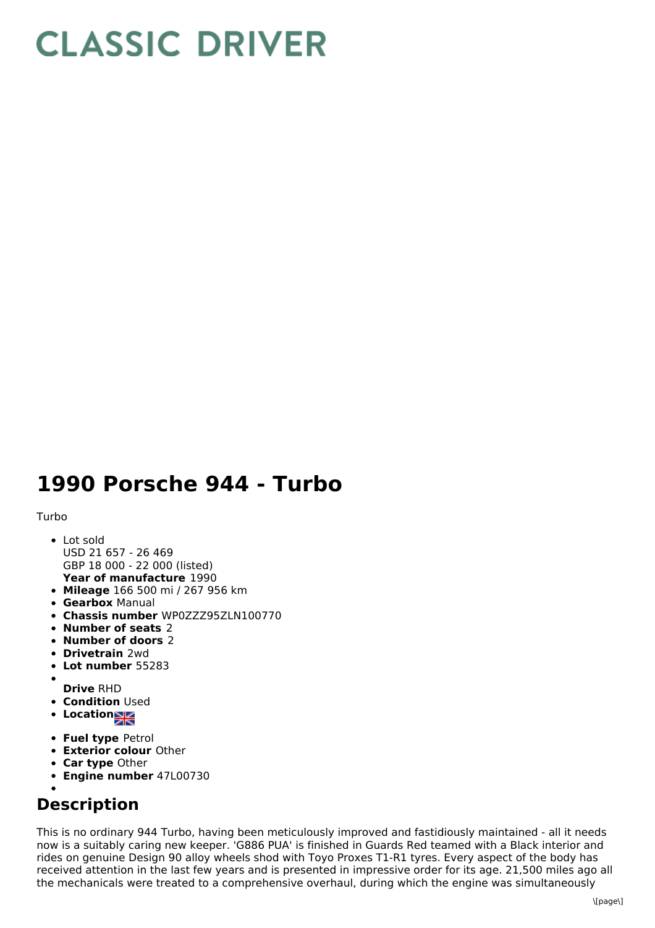## **CLASSIC DRIVER**

## **1990 Porsche 944 - Turbo**

## Turbo

- **Year of manufacture** 1990 Lot sold USD 21 657 - 26 469 GBP 18 000 - 22 000 (listed)
- **Mileage** 166 500 mi / 267 956 km
- **Gearbox** Manual
- **Chassis number** WP0ZZZ95ZLN100770
- **Number of seats** 2
- **Number of doors** 2
- **Drivetrain** 2wd
- **Lot number** 55283
- **Drive** RHD
- **Condition Used**
- Location
- **Fuel type** Petrol
- **Exterior colour** Other
- **Car type** Other
- **Engine number** 47L00730
- 

## **Description**

This is no ordinary 944 Turbo, having been meticulously improved and fastidiously maintained - all it needs now is a suitably caring new keeper. 'G886 PUA' is finished in Guards Red teamed with a Black interior and rides on genuine Design 90 alloy wheels shod with Toyo Proxes T1-R1 tyres. Every aspect of the body has received attention in the last few years and is presented in impressive order for its age. 21,500 miles ago all the mechanicals were treated to a comprehensive overhaul, during which the engine was simultaneously